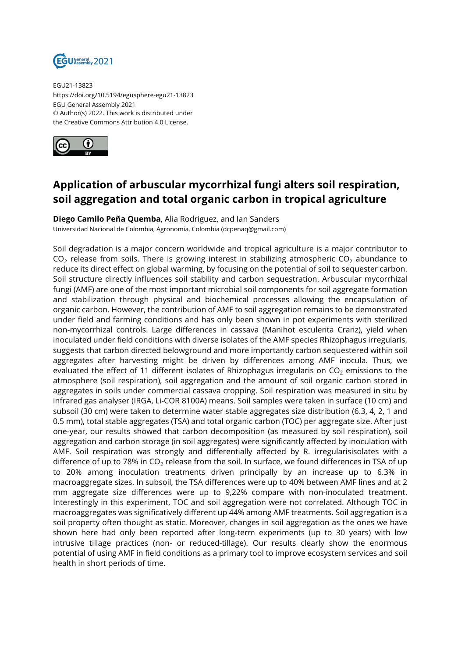

EGU21-13823 https://doi.org/10.5194/egusphere-egu21-13823 EGU General Assembly 2021 © Author(s) 2022. This work is distributed under the Creative Commons Attribution 4.0 License.



## **Application of arbuscular mycorrhizal fungi alters soil respiration, soil aggregation and total organic carbon in tropical agriculture**

**Diego Camilo Peña Quemba**, Alia Rodriguez, and Ian Sanders Universidad Nacional de Colombia, Agronomia, Colombia (dcpenaq@gmail.com)

Soil degradation is a major concern worldwide and tropical agriculture is a major contributor to  $CO<sub>2</sub>$  release from soils. There is growing interest in stabilizing atmospheric  $CO<sub>2</sub>$  abundance to reduce its direct effect on global warming, by focusing on the potential of soil to sequester carbon. Soil structure directly influences soil stability and carbon sequestration. Arbuscular mycorrhizal fungi (AMF) are one of the most important microbial soil components for soil aggregate formation and stabilization through physical and biochemical processes allowing the encapsulation of organic carbon. However, the contribution of AMF to soil aggregation remains to be demonstrated under field and farming conditions and has only been shown in pot experiments with sterilized non-mycorrhizal controls. Large differences in cassava (Manihot esculenta Cranz), yield when inoculated under field conditions with diverse isolates of the AMF species Rhizophagus irregularis, suggests that carbon directed belowground and more importantly carbon sequestered within soil aggregates after harvesting might be driven by differences among AMF inocula. Thus, we evaluated the effect of 11 different isolates of Rhizophagus irregularis on  $CO<sub>2</sub>$  emissions to the atmosphere (soil respiration), soil aggregation and the amount of soil organic carbon stored in aggregates in soils under commercial cassava cropping. Soil respiration was measured in situ by infrared gas analyser (IRGA, Li-COR 8100A) means. Soil samples were taken in surface (10 cm) and subsoil (30 cm) were taken to determine water stable aggregates size distribution (6.3, 4, 2, 1 and 0.5 mm), total stable aggregates (TSA) and total organic carbon (TOC) per aggregate size. After just one-year, our results showed that carbon decomposition (as measured by soil respiration), soil aggregation and carbon storage (in soil aggregates) were significantly affected by inoculation with AMF. Soil respiration was strongly and differentially affected by R. irregularisisolates with a difference of up to 78% in  $CO<sub>2</sub>$  release from the soil. In surface, we found differences in TSA of up to 20% among inoculation treatments driven principally by an increase up to 6.3% in macroaggregate sizes. In subsoil, the TSA differences were up to 40% between AMF lines and at 2 mm aggregate size differences were up to 9,22% compare with non-inoculated treatment. Interestingly in this experiment, TOC and soil aggregation were not correlated. Although TOC in macroaggregates was significatively different up 44% among AMF treatments. Soil aggregation is a soil property often thought as static. Moreover, changes in soil aggregation as the ones we have shown here had only been reported after long-term experiments (up to 30 years) with low intrusive tillage practices (non- or reduced-tillage). Our results clearly show the enormous potential of using AMF in field conditions as a primary tool to improve ecosystem services and soil health in short periods of time.